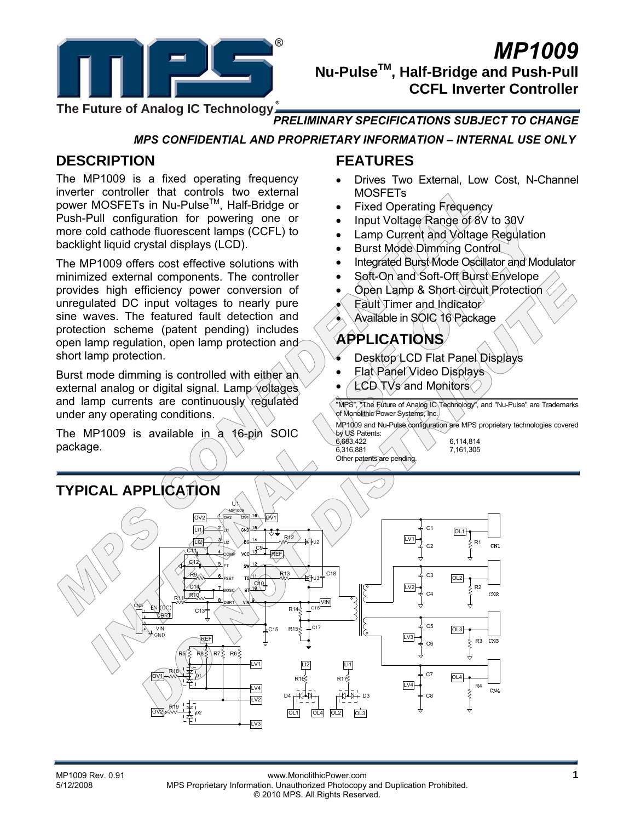

# *MP1009*  **Nu-PulseTM, Half-Bridge and Push-Pull CCFL Inverter Controller**

**The Future of Analog IC Technology**

### *PRELIMINARY SPECIFICATIONS SUBJECT TO CHANGE*

*MPS CONFIDENTIAL AND PROPRIETARY INFORMATION – INTERNAL USE ONLY* 

# **DESCRIPTION**

The MP1009 is a fixed operating frequency inverter controller that controls two external power MOSFETs in Nu-Pulse™, Half-Bridge or Push-Pull configuration for powering one or more cold cathode fluorescent lamps (CCFL) to backlight liquid crystal displays (LCD).

The MP1009 offers cost effective solutions with minimized external components. The controller provides high efficiency power conversion of unregulated DC input voltages to nearly pure sine waves. The featured fault detection and protection scheme (patent pending) includes open lamp regulation, open lamp protection and short lamp protection.

Burst mode dimming is controlled with either an external analog or digital signal. Lamp voltages and lamp currents are continuously regulated under any operating conditions.

The MP1009 is available in a 16-pin SOIC package.

## **FEATURES**

- Drives Two External, Low Cost, N-Channel MOSFETs
- Fixed Operating Frequency
- Input Voltage Range of 8V to 30V
- Lamp Current and Voltage Regulation
- Burst Mode Dimming Control
- Integrated Burst Mode Oscillator and Modulator
- Soft-On and Soft-Off Burst Envelope
- Open Lamp & Short circuit Protection
- $F$ ault Timer and Indicator
- Available in SOIC 16 Package

# **APPLICATIONS**

- Desktop LCD Flat Panel Displays
- Flat Panel Video Displays
- LCD TVs and Monitors

"MPS", "The Future of Analog IC Technology", and "Nu-Pulse" are Trademarks of Monolithic Power Systems, Inc.

MP1009 and Nu-Pulse configuration are MPS proprietary technologies covered

by US Patents:<br>6,683,422  $6,316,881$ Other patents are pending.

6,114,814<br>7 161 305

#### **TYPICAL APPLICATION**  υì MP1009  $\overline{OV2}$   $\overline{OV1}$   $\overline{OV1}$ OV2 OV1  $C<sub>1</sub>$ LI1 OL1 LI1 R12 LV1  $\sqrt{12}$ R1 LI2  $CN1$ C2 C9 C11 REF COMP  $C<sub>12</sub>$ FT  $C18$ R13 C3 R9 OL2 FSET  $C14$   $7 \cdot 7 \cdot 7$   $18^{00}$ R<sub>2</sub> LV2BOSC CN<sub>2</sub>  $R10<sub>n</sub>$ C4  $\sqrt{\frac{VIN}{C16}}$ R11 DBRT  $R14\frac{1}{5}$ ÀЯ C13  $C<sub>5</sub>$  $R15\xi$  $0.17$ VIN OL3 C15  $\sqrt{L}V3$ R3  $CN3$ REF C6  $R7\overline{5}$  $R6\overline{5}$  $\sqrt{\text{LV1}}$ LI2 LI1 R18 C<sub>7</sub>  $OVI$   $M \rightarrow P$   $N \rightarrow P$ OL4 R17 LV4 R4 LV4  $CN4$ D4 D3 C8  $EV2$ R19 lov<sub>2</sub> OL1 OL4 OL2 OL3  $\overline{L}V3$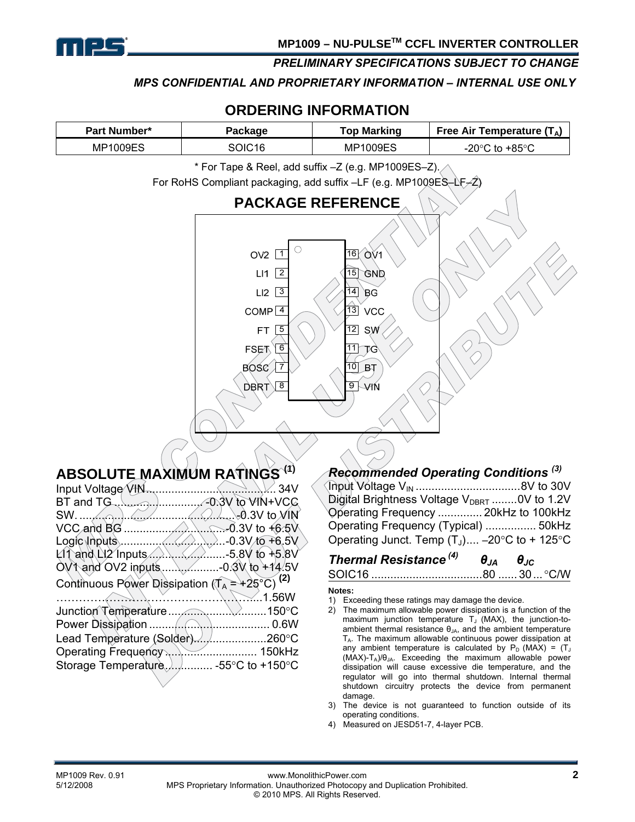

*MPS CONFIDENTIAL AND PROPRIETARY INFORMATION – INTERNAL USE ONLY* 

### **ORDERING INFORMATION**

| <b>Part Number*</b><br>Package |  | Top Marking | Free Air Temperature $(T_A)$ |
|--------------------------------|--|-------------|------------------------------|
| <b>MP1009ES</b>                |  | MP1009ES    | , +85°்<br>-20°C<br>to       |

\* For Tape & Reel, add suffix –Z (e.g. MP1009ES–Z).

For RoHS Compliant packaging, add suffix -LF (e.g. MP1009ES-LF-

## **PACKAGE REFERENCE**



# **ABSOLUTE MAXIMUM RATINGS (1)**

| Input Voltage VIN<br>.                                                                                                              | ້ 34V  |
|-------------------------------------------------------------------------------------------------------------------------------------|--------|
| $BT$ and $TG$ , $\ldots$ , $\ldots$ , $-0.3V$ to $V/N+VCG$                                                                          |        |
| $SW.$ $\ldots$ $\ldots$ $\ldots$ $\ldots$ $\ldots$ $\ldots$ $\ldots$ $\ldots$ $\ldots$ $\ldots$ $\ldots$ $\ldots$ $\ldots$ $\ldots$ |        |
|                                                                                                                                     |        |
| Logic Inputs $\ldots$ $\ldots$ $\ldots$ $\ldots$ $\ldots$ $\ldots$ $\ldots$ 0.3V to +6.5V                                           |        |
| $L11$ and $L12$ Inputs $\ldots$ , $\ldots$ , $\ldots$ , 5.8V to +5.8V                                                               |        |
|                                                                                                                                     |        |
| Continuous Power Dissipation ( $T_A = +25^{\circ}C$ ) (2)                                                                           |        |
|                                                                                                                                     |        |
|                                                                                                                                     |        |
|                                                                                                                                     |        |
| Lead Temperature (Solder)260°C                                                                                                      |        |
|                                                                                                                                     | 150kHz |
|                                                                                                                                     |        |
|                                                                                                                                     |        |

### *Recommended Operating Conditions (3)*

| Digital Brightness Voltage $V_{\text{DBRT}}$ 0V to 1.2V |  |
|---------------------------------------------------------|--|
| Operating Frequency  20kHz to 100kHz                    |  |
| Operating Frequency (Typical)  50kHz                    |  |
| Operating Junct. Temp $(T_1)$ $-20$ °C to + 125°C       |  |

# *Thermal Resistance (4) θJA θJC*

SOIC16 ...................................80 ...... 30... °C/W

#### **Notes:**

- 1) Exceeding these ratings may damage the device.
- 2) The maximum allowable power dissipation is a function of the maximum junction temperature  $T_J$  (MAX), the junction-toambient thermal resistance  $\theta_{JA}$ , and the ambient temperature  $T_A$ . The maximum allowable continuous power dissipation at any ambient temperature is calculated by  $P_D$  (MAX) = (T<sub>J</sub>  $(MAX)-T_A)/\theta_{JA}$ . Exceeding the maximum allowable power dissipation will cause excessive die temperature, and the regulator will go into thermal shutdown. Internal thermal shutdown circuitry protects the device from permanent damage.
- 3) The device is not guaranteed to function outside of its operating conditions.
- 4) Measured on JESD51-7, 4-layer PCB.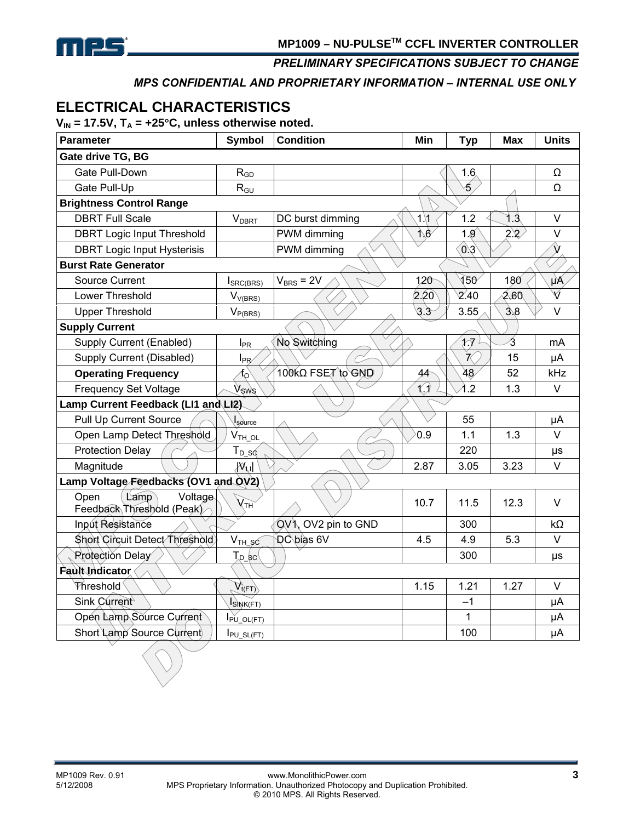

*MPS CONFIDENTIAL AND PROPRIETARY INFORMATION – INTERNAL USE ONLY* 

# **ELECTRICAL CHARACTERISTICS**

 $V_{IN}$  = 17.5V,  $T_A$  = +25°C, unless otherwise noted.

| Parameter                                            | <b>Symbol</b>            | <b>Condition</b>    | Min                    | <b>Typ</b>    | <b>Max</b>    | <b>Units</b>       |
|------------------------------------------------------|--------------------------|---------------------|------------------------|---------------|---------------|--------------------|
| Gate drive TG, BG                                    |                          |                     |                        |               |               |                    |
| Gate Pull-Down                                       | $R_{GD}$                 |                     |                        | 1.6           |               | Ω                  |
| Gate Pull-Up                                         | $R_{GU}$                 |                     |                        | ∕5.           |               | Ω                  |
| <b>Brightness Control Range</b>                      |                          |                     |                        |               |               |                    |
| <b>DBRT Full Scale</b>                               | <b>V</b> <sub>DBRT</sub> | DC burst dimming    | $1\lambda$ 1           | 1.2           | 1.3           | $\vee$             |
| <b>DBRT Logic Input Threshold</b>                    |                          | PWM dimming         | $\Lambda$ <sub>6</sub> | 1.9           | $2.2^{\circ}$ | $\vee$             |
| <b>DBRT Logic Input Hysterisis</b>                   |                          | PWM dimming         |                        | 0.3           |               | $\hat{\mathsf{V}}$ |
| <b>Burst Rate Generator</b>                          |                          |                     |                        |               |               |                    |
| <b>Source Current</b>                                | $I_{SRC(BRS)}$           | $V_{BRS} = 2V$      | 120                    | $\sqrt{50}$   | 180           | $\mu$ $\lambda$    |
| Lower Threshold                                      | $V_{V(BRS)}$             |                     | 2.20                   | 2.40          | 2.60          | V                  |
| <b>Upper Threshold</b>                               | $V_{P(BRS)}$             |                     | 3.3                    | 3.55          | 3.8           | $\vee$             |
| <b>Supply Current</b>                                |                          |                     |                        |               |               |                    |
| Supply Current (Enabled)                             | $I_{PR}$                 | No Switching        |                        | $\mathcal{H}$ | 3             | mA                 |
| Supply Current (Disabled)                            | $I_{PR}$                 |                     |                        | $\mathcal{R}$ | 15            | μA                 |
| <b>Operating Frequency</b>                           | $f_{\rm O}$              | 100KΩ FSET to GND   | 44                     | 48            | 52            | kHz                |
| <b>Frequency Set Voltage</b>                         | Vsws                     |                     | $\bigwedge$            | $\lambda$ .2  | 1.3           | $\vee$             |
| Lamp Current Feedback (LI1 and LI2)                  |                          |                     |                        |               |               |                    |
| Pull Up Current Source                               | $I_{\text{source}}$      |                     |                        | 55            |               | μA                 |
| Open Lamp Detect Threshold                           | $V_{TH\_OL}$             |                     | 0.9                    | 1.1           | 1.3           | $\vee$             |
| <b>Protection Delay</b>                              | $T_{D_SQ}$               |                     |                        | 220           |               | μs                 |
| Magnitude                                            | $\mathcal{W}$ ul         |                     | 2.87                   | 3.05          | 3.23          | $\vee$             |
| Lamp Voltage Feedbacks (OV1 and OV2)                 |                          |                     |                        |               |               |                    |
| Lamp<br>Voltage<br>Open<br>Feedback Threshold (Peak) | $\chi_{TH}$              |                     | 10.7                   | 11.5          | 12.3          | $\vee$             |
| Input Resistance                                     |                          | QV1, OV2 pin to GND |                        | 300           |               | $k\Omega$          |
| Short Circuit Detect Threshold                       | $V_{TH\_SC}$             | <b>DC</b> bias 6V   | 4.5                    | 4.9           | 5.3           | $\vee$             |
| <b>Rrotection Delay</b>                              | $T_{p\_sc}$              |                     |                        | 300           |               | μs                 |
| <b>Fault Indicator</b>                               |                          |                     |                        |               |               |                    |
| Threshold                                            | $V_{t(FT)}$              |                     | 1.15                   | 1.21          | 1.27          | $\vee$             |
| Sink Current                                         | ISINK(FT)                |                     |                        | $-1$          |               | μA                 |
| Open Lamp Source Current                             | $I_{PU\_OL(FT)}$         |                     |                        | 1             |               | μA                 |
| Short Lamp Source Current                            | $I_{PU\_SL(FT)}$         |                     |                        | 100           |               | μA                 |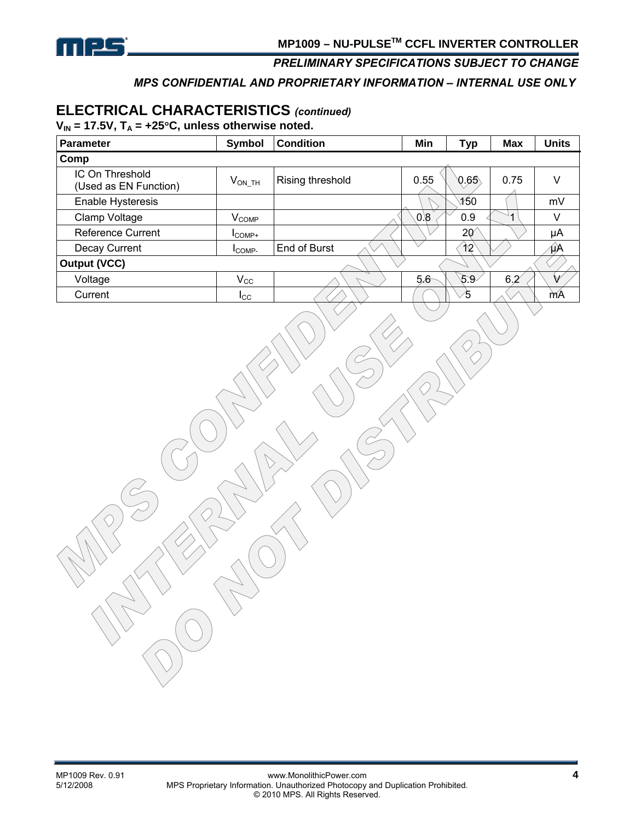

#### *MPS CONFIDENTIAL AND PROPRIETARY INFORMATION – INTERNAL USE ONLY*

# **ELECTRICAL CHARACTERISTICS** *(continued)*

 $V_{IN}$  = 17.5V,  $T_A$  = +25°C, unless otherwise noted.

| Parameter                                | Symbol                | <b>Condition</b> | Min  | <b>Typ</b>   | <b>Max</b> | <b>Units</b> |
|------------------------------------------|-----------------------|------------------|------|--------------|------------|--------------|
| Comp                                     |                       |                  |      |              |            |              |
| IC On Threshold<br>(Used as EN Function) | $V_{\mathsf{ON\_TH}}$ | Rising threshold | 0.55 | 0.65         | 0.75       | V            |
| <b>Enable Hysteresis</b>                 |                       |                  |      | 150          |            | mV           |
| Clamp Voltage                            | $V_{\text{COMP}}$     |                  | 0.8  | 0.9          |            | v            |
| <b>Reference Current</b>                 | $I$ <sub>COMP+</sub>  |                  |      | $20^{\circ}$ |            | μA           |
| Decay Current                            | <b>ICOMP-</b>         | End of Burst     |      | $\sqrt{2}$   |            | μA           |
| <b>Output (VCC)</b>                      |                       |                  |      |              |            |              |
| Voltage                                  | $V_{\rm CC}$          |                  | 5.6  | 5.9          | 6.2        | V            |
| Current                                  | <b>I</b> CC           |                  |      | 45           |            | mA           |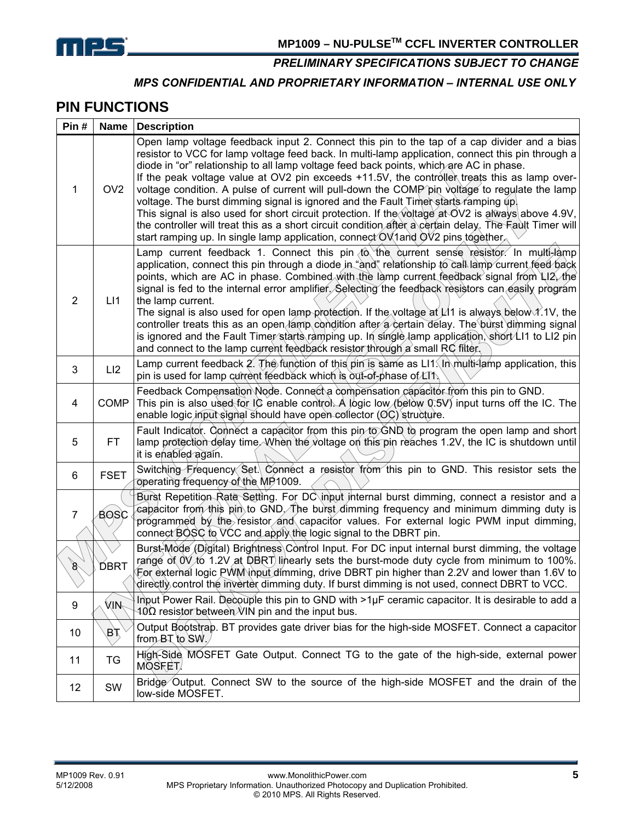

#### *MPS CONFIDENTIAL AND PROPRIETARY INFORMATION – INTERNAL USE ONLY*

### **PIN FUNCTIONS**

| Pin#                          | Name            | <b>Description</b>                                                                                                                                                                                                                                                                                                                                                                                                                                                                                                                                                                                                                                                                                                                                                                                                                                                                        |
|-------------------------------|-----------------|-------------------------------------------------------------------------------------------------------------------------------------------------------------------------------------------------------------------------------------------------------------------------------------------------------------------------------------------------------------------------------------------------------------------------------------------------------------------------------------------------------------------------------------------------------------------------------------------------------------------------------------------------------------------------------------------------------------------------------------------------------------------------------------------------------------------------------------------------------------------------------------------|
| 1                             | OV <sub>2</sub> | Open lamp voltage feedback input 2. Connect this pin to the tap of a cap divider and a bias<br>resistor to VCC for lamp voltage feed back. In multi-lamp application, connect this pin through a<br>diode in "or" relationship to all lamp voltage feed back points, which are AC in phase.<br>If the peak voltage value at OV2 pin exceeds +11.5V, the controller treats this as lamp over-<br>voltage condition. A pulse of current will pull-down the COMP pin voltage to regulate the lamp<br>voltage. The burst dimming signal is ignored and the Fault Timer starts ramping up.<br>This signal is also used for short circuit protection. If the voltage at OV2 is always above 4.9V,<br>the controller will treat this as a short circuit condition after a certain delay. The Fault Timer will<br>start ramping up. In single lamp application, connect OV1 and OV2 pins together |
| $\overline{2}$                | LI1             | Lamp current feedback 1. Connect this pin to the current sense resistor. In multi-lamp<br>application, connect this pin through a diode in "and" relationship to call lamp current feed back<br>points, which are AC in phase. Combined with the lamp current feedback signal from LI2, the<br>signal is fed to the internal error amplifier. Selecting the feedback resistors can easily program<br>the lamp current.<br>The signal is also used for open lamp protection. If the voltage at $\mu$ 1 is always below 1.1V, the<br>controller treats this as an open lamp condition after a certain delay. The burst dimming signal<br>is ignored and the Fault Timer starts ramping up. In single lamp application, short LI1 to LI2 pin<br>and connect to the lamp current feedback resistor through a small RC filter.                                                                 |
| 3                             | LI2             | Lamp current feedback 2. The function of this pin is same as $LI\$ in multi-lamp application, this<br>pin is used for lamp current feedback which is out-of-phase of LT1.                                                                                                                                                                                                                                                                                                                                                                                                                                                                                                                                                                                                                                                                                                                 |
| 4                             | <b>COMP</b>     | Feedback Compensation Node. Connect a compensation capacitor from this pin to GND.<br>This pin is also used for IC enable control. A logic low (below $(0.5V)$ input turns off the IC. The<br>enable logic input signal should have open collector $(\mathcal{O}C)$ structure.                                                                                                                                                                                                                                                                                                                                                                                                                                                                                                                                                                                                            |
| 5                             | FT.             | Fault Indicator. Connect a capacitor from this pin to GND to program the open lamp and short<br>lamp protection delay time. When the voltage on this pin reaches 1.2V, the IC is shutdown until<br>it is enabled again.                                                                                                                                                                                                                                                                                                                                                                                                                                                                                                                                                                                                                                                                   |
| 6                             | <b>FSET</b>     | Switching Frequency Set. Connect a resistor from this pin to GND. This resistor sets the<br>operating frequency of the MP1009.                                                                                                                                                                                                                                                                                                                                                                                                                                                                                                                                                                                                                                                                                                                                                            |
| 7                             | <b>BOSC</b>     | Burst Repetition Rate Setting. For DC input internal burst dimming, connect a resistor and a<br>capacitor from this pin to GND. The burst dimming frequency and minimum dimming duty is<br>programmed by the resistor and capacitor values. For external logic PWM input dimming,<br>connect BOSC to VCC and apply the logic signal to the DBRT pin.                                                                                                                                                                                                                                                                                                                                                                                                                                                                                                                                      |
| $\mathscr{E}$<br>$\checkmark$ | <b>DBRT</b>     | Burst-Mode (Digital) Brightness Control Input. For DC input internal burst dimming, the voltage<br>range of $0\sqrt{6}$ 1.2V at DBRT linearly sets the burst-mode duty cycle from minimum to 100%.<br>For external logic PWM input dimming, drive DBRT pin higher than 2.2V and lower than 1.6V to<br>directly control the inverter dimming duty. If burst dimming is not used, connect DBRT to VCC.                                                                                                                                                                                                                                                                                                                                                                                                                                                                                      |
| 9                             | MIN∕            | Input Power Rail. Decouple this pin to GND with >1µF ceramic capacitor. It is desirable to add a<br>$40\Omega$ resistor between VIN pin and the input bus.                                                                                                                                                                                                                                                                                                                                                                                                                                                                                                                                                                                                                                                                                                                                |
| 10                            | ЯÆ              | Output Bootstrap. BT provides gate driver bias for the high-side MOSFET. Connect a capacitor<br>from BT to SW.                                                                                                                                                                                                                                                                                                                                                                                                                                                                                                                                                                                                                                                                                                                                                                            |
| 11                            | TG              | High-Side MOSFET Gate Output. Connect TG to the gate of the high-side, external power<br>MOSFET/                                                                                                                                                                                                                                                                                                                                                                                                                                                                                                                                                                                                                                                                                                                                                                                          |
| 12                            | SW              | Bridge Output. Connect SW to the source of the high-side MOSFET and the drain of the<br>low-side MOSFET.                                                                                                                                                                                                                                                                                                                                                                                                                                                                                                                                                                                                                                                                                                                                                                                  |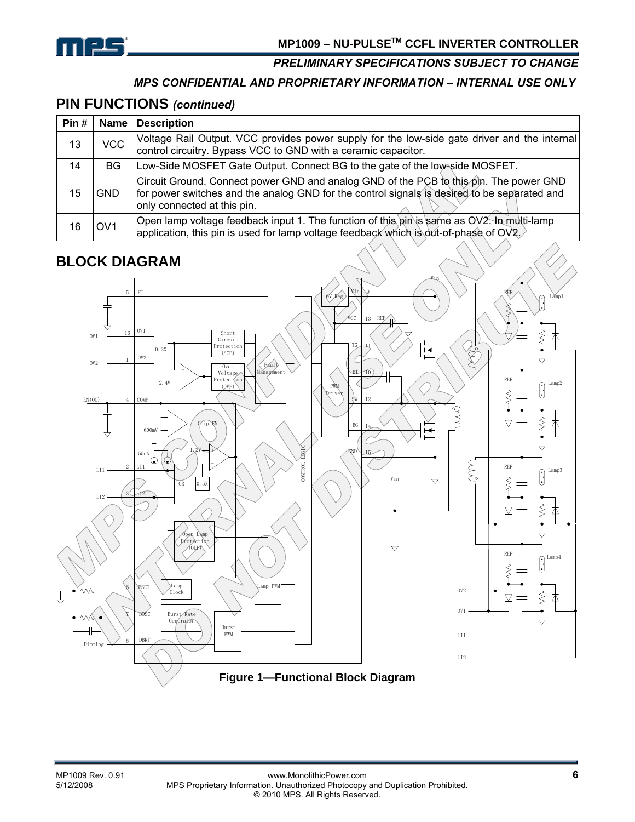

#### *MPS CONFIDENTIAL AND PROPRIETARY INFORMATION – INTERNAL USE ONLY*

### **PIN FUNCTIONS** *(continued)*

| Pin # | Name            | <b>Description</b>                                                                                                                                                                                                    |  |
|-------|-----------------|-----------------------------------------------------------------------------------------------------------------------------------------------------------------------------------------------------------------------|--|
| 13    | <b>VCC</b>      | Voltage Rail Output. VCC provides power supply for the low-side gate driver and the internal<br>control circuitry. Bypass VCC to GND with a ceramic capacitor.                                                        |  |
| 14    | <b>BG</b>       | Low-Side MOSFET Gate Output. Connect BG to the gate of the low-side MOSFET.                                                                                                                                           |  |
| 15    | <b>GND</b>      | Circuit Ground. Connect power GND and analog GND of the PCB to this pin. The power GND<br>for power switches and the analog GND for the control signals is desired to be separated and<br>only connected at this pin. |  |
| 16    | OV <sub>1</sub> | Open lamp voltage feedback input 1. The function of this pin is same as OV2. In multi-lamp<br>application, this pin is used for lamp voltage feedback which is out-of-phase of $OVI$ .                                |  |

# **BLOCK DIAGRAM**

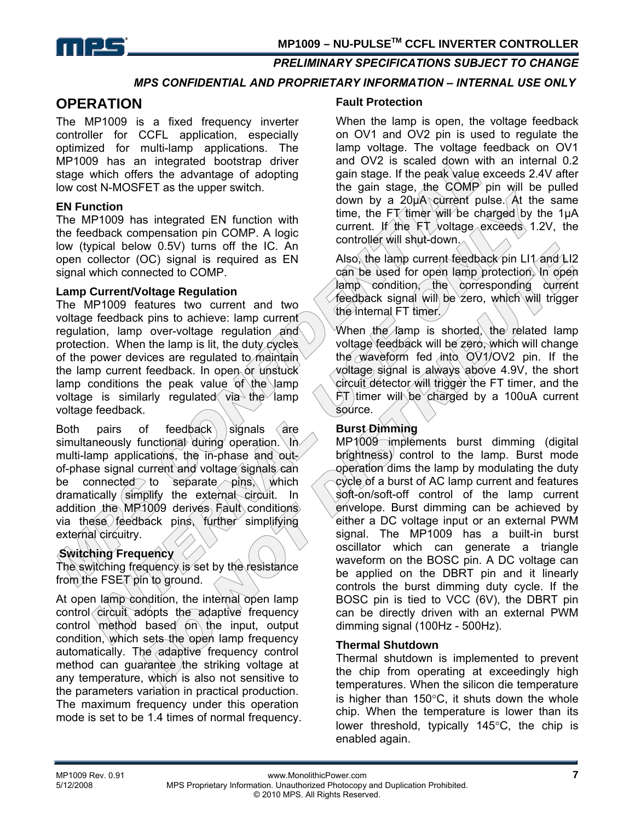

#### *MPS CONFIDENTIAL AND PROPRIETARY INFORMATION – INTERNAL USE ONLY*

### **OPERATION**

The MP1009 is a fixed frequency inverter controller for CCFL application, especially optimized for multi-lamp applications. The MP1009 has an integrated bootstrap driver stage which offers the advantage of adopting low cost N-MOSFET as the upper switch.

#### **EN Function**

The MP1009 has integrated EN function with the feedback compensation pin COMP. A logic low (typical below 0.5V) turns off the IC. An open collector (OC) signal is required as EN signal which connected to COMP.

#### **Lamp Current/Voltage Regulation**

The MP1009 features two current and two voltage feedback pins to achieve: lamp current regulation, lamp over-voltage regulation and protection. When the lamp is lit, the duty cycles of the power devices are regulated to maintain the lamp current feedback. In open or unstuck lamp conditions the peak value of the lamp voltage is similarly regulated via the lamp voltage feedback.

Both pairs of feedback signals are simultaneously functional during operation.  $\ln$ multi-lamp applications, the in-phase and outof-phase signal current and voltage signals can be connected to separate  $\pi$  ins, which dramatically simplify the external circuit. In addition the MP1009 derives Fault conditions via these feedback pins, further simplifying external circuitry.

### **Switching Frequency**

The switching frequency is set by the resistance from the FSET pin to ground.

At open lamp condition, the internal open lamp control circuit adopts the adaptive frequency control method based on the input, output condition, which sets the open lamp frequency automatically. The adaptive frequency control method can guarantee the striking voltage at any temperature, which is also not sensitive to the parameters variation in practical production. The maximum frequency under this operation mode is set to be 1.4 times of normal frequency.

#### **Fault Protection**

When the lamp is open, the voltage feedback on OV1 and OV2 pin is used to regulate the lamp voltage. The voltage feedback on OV1 and OV2 is scaled down with an internal 0.2 gain stage. If the peak value exceeds 2.4V after the gain stage, the  $\text{COMP}$  pin will be pulled down by a 20µA current pulse. At the same time, the FT timer will be charged by the 1 $\mu$ A current. If the  $FT$  voltage exceeds 1.2V, the controller will shut-down.

Also, the lamp current feedback pin LI1 and LI2 can be used for open lamp protection. In open lamp condition, the corresponding current feedback signal will be zero, which will trigger the internal  $FT$  timer.

When the lamp is shorted, the related lamp voltage feedback will be zero, which will change the waveform fed into OV1/OV2 pin. If the voltage signal is always above 4.9V, the short circuit detector will trigger the FT timer, and the  $FT$  timer will be charged by a 100uA current source.

#### **Burst Dimming**

MP1009 implements burst dimming (digital brightness) control to the lamp. Burst mode operation dims the lamp by modulating the duty cycle of a burst of AC lamp current and features soft-on/soft-off control of the lamp current envelope. Burst dimming can be achieved by either a DC voltage input or an external PWM signal. The MP1009 has a built-in burst oscillator which can generate a triangle waveform on the BOSC pin. A DC voltage can be applied on the DBRT pin and it linearly controls the burst dimming duty cycle. If the BOSC pin is tied to VCC (6V), the DBRT pin can be directly driven with an external PWM dimming signal (100Hz - 500Hz).

#### **Thermal Shutdown**

Thermal shutdown is implemented to prevent the chip from operating at exceedingly high temperatures. When the silicon die temperature is higher than 150°C, it shuts down the whole chip. When the temperature is lower than its lower threshold, typically 145°C, the chip is enabled again.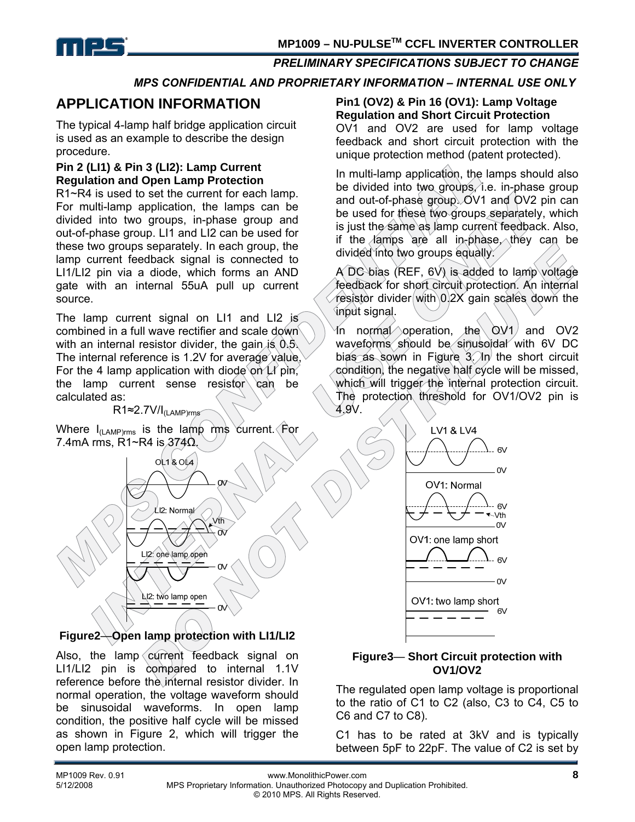

#### *MPS CONFIDENTIAL AND PROPRIETARY INFORMATION – INTERNAL USE ONLY*

### **APPLICATION INFORMATION**

The typical 4-lamp half bridge application circuit is used as an example to describe the design procedure.

#### **Pin 2 (LI1) & Pin 3 (LI2): Lamp Current Regulation and Open Lamp Protection**

R1~R4 is used to set the current for each lamp. For multi-lamp application, the lamps can be divided into two groups, in-phase group and out-of-phase group. LI1 and LI2 can be used for these two groups separately. In each group, the lamp current feedback signal is connected to LI1/LI2 pin via a diode, which forms an AND gate with an internal 55uA pull up current source.

The lamp current signal on LI1 and LI2 is combined in a full wave rectifier and scale down with an internal resistor divider, the gain is  $0.5$ . The internal reference is 1.2V for average value, For the 4 lamp application with diode on  $\mu$  pin, the lamp current sense resistor  $\cosh$  be calculated as:

#### R1≈2.7V/I(LAMP)rms

Where  $I_{(LAMP)rms}$  is the lamp rms current. For 7.4mA rms, R1~R4 is  $374\Omega$ .



### **Figure2**—**Open lamp protection with LI1/LI2**

Also, the lamp current feedback signal on LI1/LI2 pin is compared to internal 1.1V reference before the internal resistor divider. In normal operation, the voltage waveform should be sinusoidal waveforms. In open lamp condition, the positive half cycle will be missed as shown in Figure 2, which will trigger the open lamp protection.

#### **Pin1 (OV2) & Pin 16 (OV1): Lamp Voltage Regulation and Short Circuit Protection**

OV1 and OV2 are used for lamp voltage feedback and short circuit protection with the unique protection method (patent protected).

In multi-lamp application, the lamps should also be divided into two groups, i.e. in-phase group and out-of-phase group. OV1 and OV2 pin can be used for these two groups separately, which is just the same as lamp current feedback. Also, if the lamps are all in-phase, they can be divided into two groups equally.

A DC bias (REF,  $6V$ ) is added to lamp voltage feedback for short circuit protection. An internal resistor divider with 0.2X gain scales down the input signal.

In normal operation, the  $\overline{OVI}$  and  $\overline{OV2}$ waveforms should be sinusoidal with 6V DC bias as sown in Figure  $3$ . In the short circuit condition, the negative half cycle will be missed, which will trigger the internal protection circuit. The protection threshold for OV1/OV2 pin is 4.9V.



#### **Figure3**— **Short Circuit protection with OV1/OV2**

The regulated open lamp voltage is proportional to the ratio of C1 to C2 (also, C3 to C4, C5 to C6 and C7 to C8).

C1 has to be rated at 3kV and is typically between 5pF to 22pF. The value of C2 is set by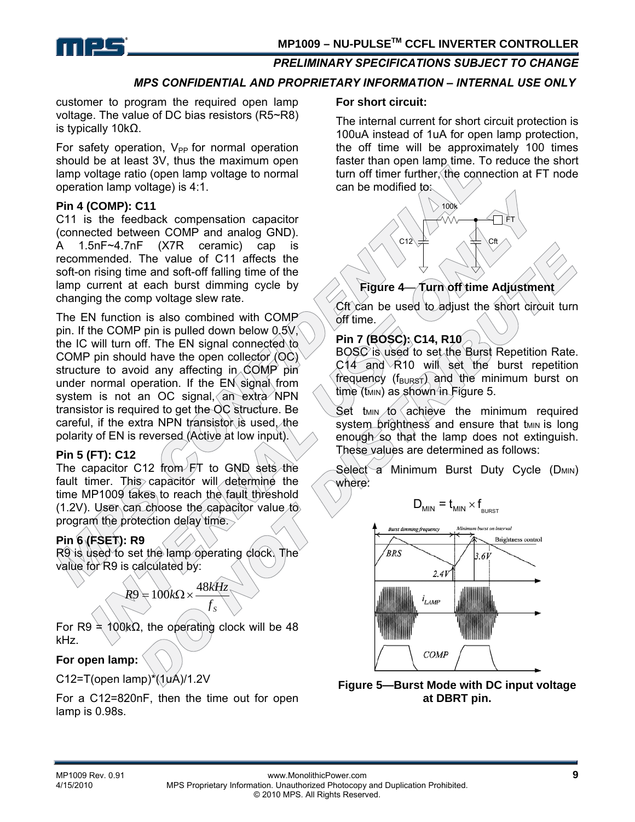

#### *MPS CONFIDENTIAL AND PROPRIETARY INFORMATION – INTERNAL USE ONLY*

customer to program the required open lamp voltage. The value of DC bias resistors (R5~R8) is typically 10kΩ.

For safety operation,  $V_{PP}$  for normal operation should be at least 3V, thus the maximum open lamp voltage ratio (open lamp voltage to normal operation lamp voltage) is 4:1.

#### **Pin 4 (COMP): C11**

C11 is the feedback compensation capacitor (connected between COMP and analog GND). A 1.5nF~4.7nF (X7R ceramic) cap is recommended. The value of C11 affects the soft-on rising time and soft-off falling time of the lamp current at each burst dimming cycle by changing the comp voltage slew rate.

The EN function is also combined with COMP pin. If the COMP pin is pulled down below  $0.5V$ , the IC will turn off. The EN signal connected to COMP pin should have the open collector  $\langle \text{OC} \rangle$ structure to avoid any affecting in COMP pin under normal operation. If the EN signal from system is not an OC signal, an extra NPN transistor is required to get the OC structure. Be careful, if the extra NPN transistor is used, the polarity of EN is reversed (Active at low input).

#### **Pin 5 (FT): C12**

The capacitor C12 from FT to GND sets the fault timer. This capacitor will determine the time MP1009 takes to reach the fault threshold (1.2V). User can choose the capacitor value to program the protection delay time.

### **Pin 6 (FSET): R9**

R9 is used to set the lamp operating clock. The value for R9 is calculated by:

> $f_{\rm s}$  $R9 = 100k\Omega \times \frac{48kHz}{\Omega}$

For R9  $\neq$  100kΩ, the operating clock will be 48 kHz.

#### **For open lamp:**

C12=T(open lamp) $*(1yA)/1.2V$ 

For a C12=820nF, then the time out for open lamp is 0.98s.

#### **For short circuit:**

The internal current for short circuit protection is 100uA instead of 1uA for open lamp protection, the off time will be approximately 100 times faster than open lamp time. To reduce the short turn off timer further, the connection at FT node can be modified to:



### **Figure 4**— **Turn off time Adjustment**

Cft can be used to adjust the short circuit turn off time.

#### **Pin 7 (BOSC): C14, R10**

BOSC is used to set the Burst Repetition Rate. C14 and R10 will set the burst repetition frequency (f<sub>BURST</sub>) and the minimum burst on  $time$  (t<sub>MIN</sub>) as shown in Figure 5.

Set  $t_{MIN}$  to achieve the minimum required system brightness and ensure that tMIN is long enough so that the lamp does not extinguish. These values are determined as follows:

Select a Minimum Burst Duty Cycle (DMIN) where:

$$
D_{\text{MIN}} = t_{\text{MIN}} \times f_{\text{BURST}}
$$



**Figure 5—Burst Mode with DC input voltage at DBRT pin.**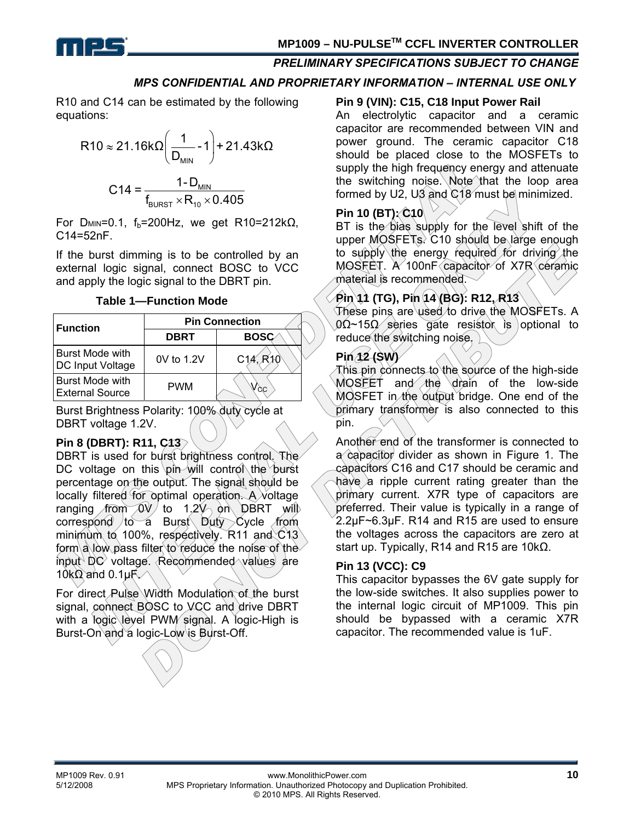

#### *MPS CONFIDENTIAL AND PROPRIETARY INFORMATION – INTERNAL USE ONLY*

R10 and C14 can be estimated by the following equations:

R10 ≈ 21.16kΩ 
$$
\left(\frac{1}{D_{MIN}} - 1\right)
$$
 + 21.43kΩ  
C14 =  $\frac{1 - D_{MIN}}{f_{BURST} \times R_{10} \times 0.405}$ 

For D<sub>MIN</sub>=0.1,  $f_b$ =200Hz, we get R10=212k $\Omega$ , C14=52nF.

If the burst dimming is to be controlled by an external logic signal, connect BOSC to VCC and apply the logic signal to the DBRT pin.

**Table 1—Function Mode** 

| <b>Function</b>                                   | <b>Pin Connection</b> |                                   |  |  |
|---------------------------------------------------|-----------------------|-----------------------------------|--|--|
|                                                   | <b>DBRT</b>           | <b>BOSC</b>                       |  |  |
| <b>Burst Mode with</b><br><b>DC Input Voltage</b> | 0V to 1.2V            | C <sub>14</sub> , R <sub>10</sub> |  |  |
| <b>Burst Mode with</b><br><b>External Source</b>  | <b>PWM</b>            | $\sqrt{c}c$                       |  |  |

Burst Brightness Polarity: 100% duty cycle at DBRT voltage 1.2V.

#### **Pin 8 (DBRT): R11, C13**

DBRT is used for burst brightness control. The DC voltage on this pin will control the burst percentage on the output. The signal should be locally filtered for optimal operation. A voltage ranging from  $0\nu/$  to 1.2 $\nu$  on DBRT will correspond to a Burst Duty Cycle from minimum to 100%, respectively. R11 and C13 form a low pass filter to reduce the noise of the input DC voltage. Recommended values are 10k $\Omega$  and 0.1µ $F$ 

For direct Pulse Width Modulation of the burst signal, connect BOSC to VCC and drive DBRT with a logic level PWM signal. A logic-High is Burst-On and a logic-Low is Burst-Off.

#### **Pin 9 (VIN): C15, C18 Input Power Rail**

An electrolytic capacitor and a ceramic capacitor are recommended between VIN and power ground. The ceramic capacitor C18 should be placed close to the MOSFETs to supply the high frequency energy and attenuate the switching noise. Note that the loop area formed by U2, U3 and  $C18$  must be minimized.

### **Pin 10 (BT): C10**

BT is the bias supply for the level shift of the upper MOSFETs. C10 should be large enough to supply the energy required for driving the MOSFET. A 100nF capacitor of X7R ceramic material is recommended.

### **Pin 11 (TG), Pin 14 (BG): R12, R13**

These pins are used to drive the MOSFETs. A  $0$  $\Omega$ ~15 $\Omega$  series gate resistor is optional to reduce the switching noise.

#### **Pin 12 (SW)**

This pin connects to the source of the high-side MOSFET and the drain of the low-side MOSFET in the output bridge. One end of the primary transformer is also connected to this pin.

Another end of the transformer is connected to a capacitor divider as shown in Figure 1. The capacitors C16 and C17 should be ceramic and have a ripple current rating greater than the primary current. X7R type of capacitors are preferred. Their value is typically in a range of 2.2µF~6.3µF. R14 and R15 are used to ensure the voltages across the capacitors are zero at start up. Typically, R14 and R15 are 10k $\Omega$ .

#### **Pin 13 (VCC): C9**

This capacitor bypasses the 6V gate supply for the low-side switches. It also supplies power to the internal logic circuit of MP1009. This pin should be bypassed with a ceramic X7R capacitor. The recommended value is 1uF.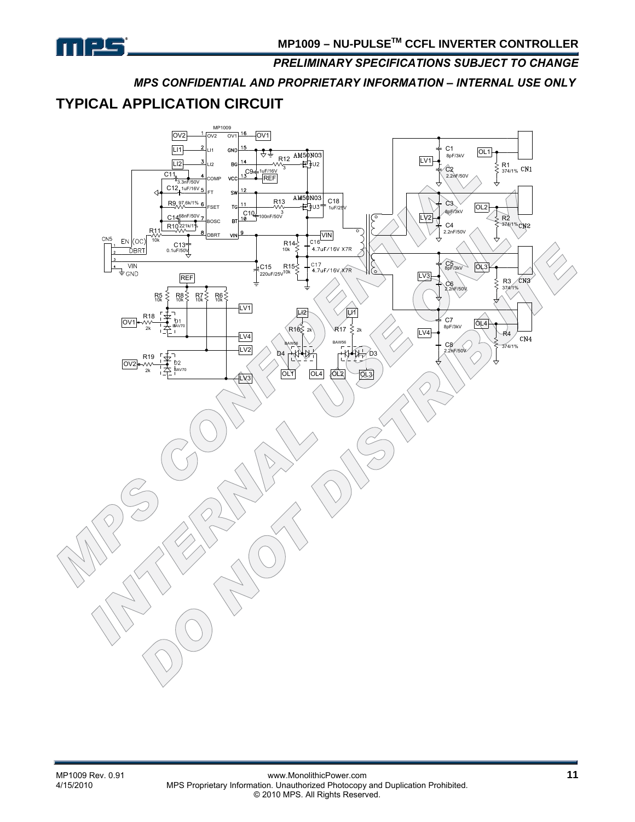

*MPS CONFIDENTIAL AND PROPRIETARY INFORMATION – INTERNAL USE ONLY* 

# **TYPICAL APPLICATION CIRCUIT**